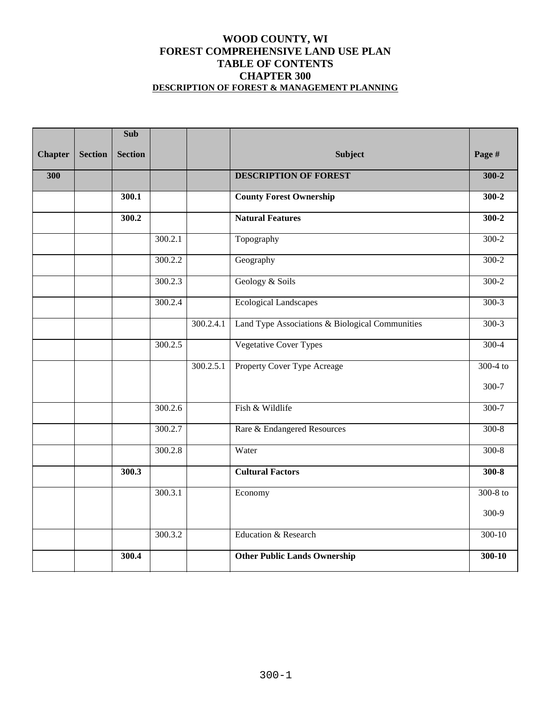#### **WOOD COUNTY, WI FOREST COMPREHENSIVE LAND USE PLAN TABLE OF CONTENTS CHAPTER 300 DESCRIPTION OF FOREST & MANAGEMENT PLANNING**

|                |                | <b>Sub</b>     |         |           |                                                 |            |
|----------------|----------------|----------------|---------|-----------|-------------------------------------------------|------------|
| <b>Chapter</b> | <b>Section</b> | <b>Section</b> |         |           | <b>Subject</b>                                  | Page #     |
| 300            |                |                |         |           | <b>DESCRIPTION OF FOREST</b>                    | $300 - 2$  |
|                |                | 300.1          |         |           | <b>County Forest Ownership</b>                  | $300 - 2$  |
|                |                | 300.2          |         |           | <b>Natural Features</b>                         | $300 - 2$  |
|                |                |                | 300.2.1 |           | Topography                                      | $300-2$    |
|                |                |                | 300.2.2 |           | Geography                                       | $300 - 2$  |
|                |                |                | 300.2.3 |           | Geology & Soils                                 | $300 - 2$  |
|                |                |                | 300.2.4 |           | <b>Ecological Landscapes</b>                    | $300-3$    |
|                |                |                |         | 300.2.4.1 | Land Type Associations & Biological Communities | $300-3$    |
|                |                |                | 300.2.5 |           | <b>Vegetative Cover Types</b>                   | $300-4$    |
|                |                |                |         | 300.2.5.1 | Property Cover Type Acreage                     | $300-4$ to |
|                |                |                |         |           |                                                 | $300 - 7$  |
|                |                |                | 300.2.6 |           | Fish & Wildlife                                 | $300 - 7$  |
|                |                |                | 300.2.7 |           | Rare & Endangered Resources                     | $300-8$    |
|                |                |                | 300.2.8 |           | Water                                           | $300-8$    |
|                |                | 300.3          |         |           | <b>Cultural Factors</b>                         | $300-8$    |
|                |                |                | 300.3.1 |           | Economy                                         | $300-8$ to |
|                |                |                |         |           |                                                 | 300-9      |
|                |                |                | 300.3.2 |           | Education & Research                            | 300-10     |
|                |                | 300.4          |         |           | <b>Other Public Lands Ownership</b>             | 300-10     |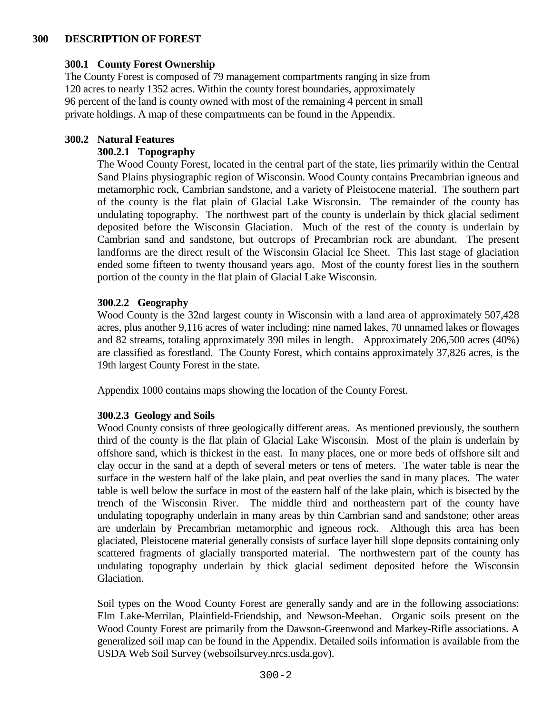### **300 DESCRIPTION OF FOREST**

#### **300.1 County Forest Ownership**

The County Forest is composed of 79 management compartments ranging in size from 120 acres to nearly 1352 acres. Within the county forest boundaries, approximately 96 percent of the land is county owned with most of the remaining 4 percent in small private holdings. A map of these compartments can be found in the Appendix.

### **300.2 Natural Features**

### **300.2.1 Topography**

The Wood County Forest, located in the central part of the state, lies primarily within the Central Sand Plains physiographic region of Wisconsin. Wood County contains Precambrian igneous and metamorphic rock, Cambrian sandstone, and a variety of Pleistocene material. The southern part of the county is the flat plain of Glacial Lake Wisconsin. The remainder of the county has undulating topography. The northwest part of the county is underlain by thick glacial sediment deposited before the Wisconsin Glaciation. Much of the rest of the county is underlain by Cambrian sand and sandstone, but outcrops of Precambrian rock are abundant. The present landforms are the direct result of the Wisconsin Glacial Ice Sheet. This last stage of glaciation ended some fifteen to twenty thousand years ago. Most of the county forest lies in the southern portion of the county in the flat plain of Glacial Lake Wisconsin.

#### **300.2.2 Geography**

Wood County is the 32nd largest county in Wisconsin with a land area of approximately 507,428 acres, plus another 9,116 acres of water including: nine named lakes, 70 unnamed lakes or flowages and 82 streams, totaling approximately 390 miles in length. Approximately 206,500 acres (40%) are classified as forestland. The County Forest, which contains approximately 37,826 acres, is the 19th largest County Forest in the state.

Appendix 1000 contains maps showing the location of the County Forest.

## **300.2.3 Geology and Soils**

Wood County consists of three geologically different areas. As mentioned previously, the southern third of the county is the flat plain of Glacial Lake Wisconsin. Most of the plain is underlain by offshore sand, which is thickest in the east. In many places, one or more beds of offshore silt and clay occur in the sand at a depth of several meters or tens of meters. The water table is near the surface in the western half of the lake plain, and peat overlies the sand in many places. The water table is well below the surface in most of the eastern half of the lake plain, which is bisected by the trench of the Wisconsin River. The middle third and northeastern part of the county have undulating topography underlain in many areas by thin Cambrian sand and sandstone; other areas are underlain by Precambrian metamorphic and igneous rock. Although this area has been glaciated, Pleistocene material generally consists of surface layer hill slope deposits containing only scattered fragments of glacially transported material. The northwestern part of the county has undulating topography underlain by thick glacial sediment deposited before the Wisconsin Glaciation.

Soil types on the Wood County Forest are generally sandy and are in the following associations: Elm Lake-Merrilan, Plainfield-Friendship, and Newson-Meehan. Organic soils present on the Wood County Forest are primarily from the Dawson-Greenwood and Markey-Rifle associations. A generalized soil map can be found in the Appendix. Detailed soils information is available from the USDA Web Soil Survey (websoilsurvey.nrcs.usda.gov).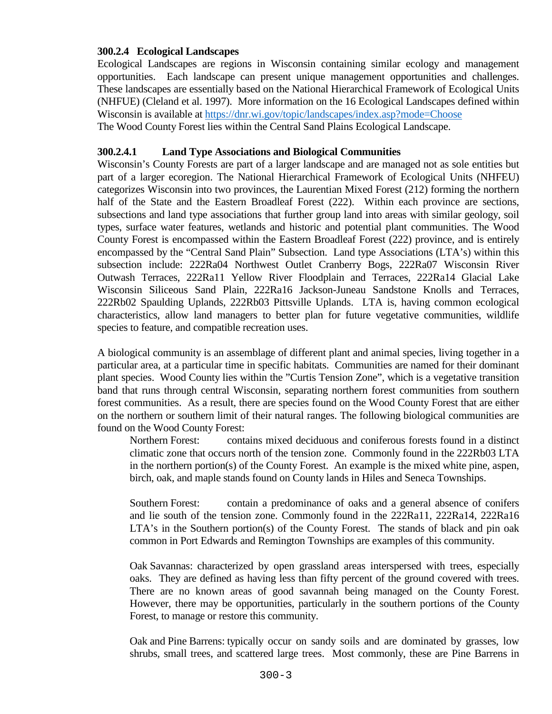### **300.2.4 Ecological Landscapes**

Ecological Landscapes are regions in Wisconsin containing similar ecology and management opportunities. Each landscape can present unique management opportunities and challenges. These landscapes are essentially based on the National Hierarchical Framework of Ecological Units (NHFUE) (Cleland et al. 1997). More information on the 16 Ecological Landscapes defined within Wisconsin is available at<https://dnr.wi.gov/topic/landscapes/index.asp?mode=Choose> The Wood County Forest lies within the Central Sand Plains Ecological Landscape.

#### **300.2.4.1 Land Type Associations and Biological Communities**

Wisconsin's County Forests are part of a larger landscape and are managed not as sole entities but part of a larger ecoregion. The National Hierarchical Framework of Ecological Units (NHFEU) categorizes Wisconsin into two provinces, the Laurentian Mixed Forest (212) forming the northern half of the State and the Eastern Broadleaf Forest (222). Within each province are sections, subsections and land type associations that further group land into areas with similar geology, soil types, surface water features, wetlands and historic and potential plant communities. The Wood County Forest is encompassed within the Eastern Broadleaf Forest (222) province, and is entirely encompassed by the "Central Sand Plain" Subsection. Land type Associations (LTA's) within this subsection include: 222Ra04 Northwest Outlet Cranberry Bogs, 222Ra07 Wisconsin River Outwash Terraces, 222Ra11 Yellow River Floodplain and Terraces, 222Ra14 Glacial Lake Wisconsin Siliceous Sand Plain, 222Ra16 Jackson-Juneau Sandstone Knolls and Terraces, 222Rb02 Spaulding Uplands, 222Rb03 Pittsville Uplands. LTA is, having common ecological characteristics, allow land managers to better plan for future vegetative communities, wildlife species to feature, and compatible recreation uses.

A biological community is an assemblage of different plant and animal species, living together in a particular area, at a particular time in specific habitats. Communities are named for their dominant plant species. Wood County lies within the "Curtis Tension Zone", which is a vegetative transition band that runs through central Wisconsin, separating northern forest communities from southern forest communities. As a result, there are species found on the Wood County Forest that are either on the northern or southern limit of their natural ranges. The following biological communities are found on the Wood County Forest:

Northern Forest: contains mixed deciduous and coniferous forests found in a distinct climatic zone that occurs north of the tension zone. Commonly found in the 222Rb03 LTA in the northern portion(s) of the County Forest. An example is the mixed white pine, aspen, birch, oak, and maple stands found on County lands in Hiles and Seneca Townships.

Southern Forest: contain a predominance of oaks and a general absence of conifers and lie south of the tension zone. Commonly found in the 222Ra11, 222Ra14, 222Ra16 LTA's in the Southern portion(s) of the County Forest. The stands of black and pin oak common in Port Edwards and Remington Townships are examples of this community.

Oak Savannas: characterized by open grassland areas interspersed with trees, especially oaks. They are defined as having less than fifty percent of the ground covered with trees. There are no known areas of good savannah being managed on the County Forest. However, there may be opportunities, particularly in the southern portions of the County Forest, to manage or restore this community.

Oak and Pine Barrens: typically occur on sandy soils and are dominated by grasses, low shrubs, small trees, and scattered large trees. Most commonly, these are Pine Barrens in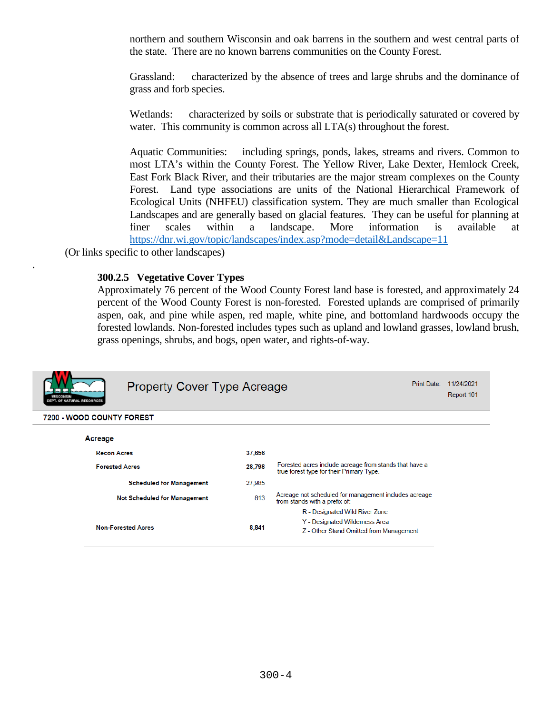northern and southern Wisconsin and oak barrens in the southern and west central parts of the state. There are no known barrens communities on the County Forest.

Grassland: characterized by the absence of trees and large shrubs and the dominance of grass and forb species.

Wetlands: characterized by soils or substrate that is periodically saturated or covered by water. This community is common across all LTA(s) throughout the forest.

Aquatic Communities: including springs, ponds, lakes, streams and rivers. Common to most LTA's within the County Forest. The Yellow River, Lake Dexter, Hemlock Creek, East Fork Black River, and their tributaries are the major stream complexes on the County Forest. Land type associations are units of the National Hierarchical Framework of Ecological Units (NHFEU) classification system. They are much smaller than Ecological Landscapes and are generally based on glacial features. They can be useful for planning at finer scales within a landscape. More information is available at <https://dnr.wi.gov/topic/landscapes/index.asp?mode=detail&Landscape=11>

(Or links specific to other landscapes)

.

#### **300.2.5 Vegetative Cover Types**

Approximately 76 percent of the Wood County Forest land base is forested, and approximately 24 percent of the Wood County Forest is non-forested. Forested uplands are comprised of primarily aspen, oak, and pine while aspen, red maple, white pine, and bottomland hardwoods occupy the forested lowlands. Non-forested includes types such as upland and lowland grasses, lowland brush, grass openings, shrubs, and bogs, open water, and rights-of-way.

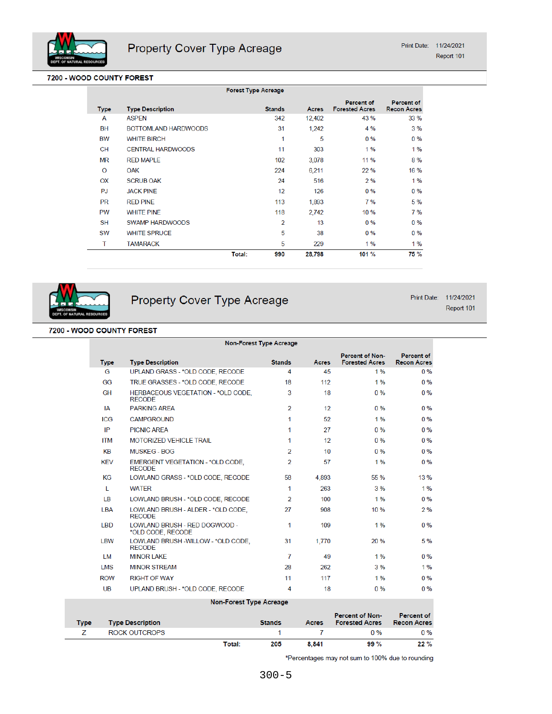

#### 7200 - WOOD COUNTY FOREST

|             |                          | <b>Forest Type Acreage</b> |                |        |                                            |                                         |
|-------------|--------------------------|----------------------------|----------------|--------|--------------------------------------------|-----------------------------------------|
| <b>Type</b> | <b>Type Description</b>  |                            | <b>Stands</b>  | Acres  | <b>Percent of</b><br><b>Forested Acres</b> | <b>Percent of</b><br><b>Recon Acres</b> |
| A           | <b>ASPEN</b>             |                            | 342            | 12,402 | 43 %                                       | 33 %                                    |
| <b>BH</b>   | BOTTOMLAND HARDWOODS     |                            | 31             | 1,242  | 4 %                                        | 3%                                      |
| BW          | <b>WHITE BIRCH</b>       |                            | 1              | 5      | 0%                                         | $0\%$                                   |
| <b>CH</b>   | <b>CENTRAL HARDWOODS</b> |                            | 11             | 303    | 1%                                         | 1%                                      |
| <b>MR</b>   | <b>RED MAPLE</b>         |                            | 102            | 3,078  | 11 %                                       | 8%                                      |
| $\circ$     | <b>OAK</b>               |                            | 224            | 6,211  | 22 %                                       | 16 %                                    |
| OX          | <b>SCRUB OAK</b>         |                            | 24             | 516    | 2%                                         | 1%                                      |
| PJ          | <b>JACK PINE</b>         |                            | 12             | 126    | $0\%$                                      | $0\%$                                   |
| <b>PR</b>   | <b>RED PINE</b>          |                            | 113            | 1,893  | 7%                                         | 5 %                                     |
| <b>PW</b>   | <b>WHITE PINE</b>        |                            | 118            | 2,742  | 10 %                                       | 7%                                      |
| <b>SH</b>   | <b>SWAMP HARDWOODS</b>   |                            | $\overline{2}$ | 13     | $0\%$                                      | $0\%$                                   |
| <b>SW</b>   | <b>WHITE SPRUCE</b>      |                            | 5              | 38     | $0\%$                                      | $0\%$                                   |
| T           | <b>TAMARACK</b>          |                            | 5              | 229    | $1\%$                                      | 1%                                      |
|             |                          | Total:                     | 990            | 28,798 | 101 %                                      | 75 %                                    |



**Type** 

Z

**ROCK OUTCROPS** 

## Property Cover Type Acreage

Print Date: 11/24/2021

Report 101

#### 7200 - WOOD COUNTY FOREST

|             |                                                      | <b>Non-Forest Type Acreage</b> |                  |                                                 |                                         |
|-------------|------------------------------------------------------|--------------------------------|------------------|-------------------------------------------------|-----------------------------------------|
| <b>Type</b> | <b>Type Description</b>                              | <b>Stands</b>                  | Acres            | <b>Percent of Non-</b><br><b>Forested Acres</b> | <b>Percent of</b><br><b>Recon Acres</b> |
| G           | UPLAND GRASS - *OLD CODE, RECODE                     | 4                              | 45               | 1%                                              | 0%                                      |
| GG          | TRUE GRASSES - *OLD CODE, RECODE                     | 18                             | 112              | 1%                                              | $0\%$                                   |
| <b>GH</b>   | HERBACEOUS VEGETATION - *OLD CODE.<br><b>RECODE</b>  | 3                              | 18               | $0\%$                                           | $0\%$                                   |
| ΙA          | <b>PARKING AREA</b>                                  | $\mathfrak{p}$                 | 12 <sup>12</sup> | $0\%$                                           | $0\%$                                   |
| <b>ICG</b>  | <b>CAMPGROUND</b>                                    | 1                              | 52               | 1%                                              | $0\%$                                   |
| IP          | <b>PICNIC AREA</b>                                   | 1                              | 27               | $0\%$                                           | $0\%$                                   |
| <b>ITM</b>  | <b>MOTORIZED VEHICLE TRAIL</b>                       | 1                              | 12               | $0\%$                                           | $0\%$                                   |
| KB          | <b>MUSKEG - BOG</b>                                  | $\overline{2}$                 | 10               | $0\%$                                           | $0\%$                                   |
| <b>KFV</b>  | EMERGENT VEGETATION - *OLD CODE.<br><b>RECODE</b>    | 2                              | 57               | 1%                                              | $0\%$                                   |
| ΚG          | LOWLAND GRASS - *OLD CODE, RECODE                    | 58                             | 4,893            | 55 %                                            | 13%                                     |
| T.          | <b>WATFR</b>                                         | 1                              | 263              | 3%                                              | 1%                                      |
| LB          | LOWLAND BRUSH - * OLD CODE, RECODE                   | 2                              | 100              | 1%                                              | $0\%$                                   |
| <b>LBA</b>  | LOWLAND BRUSH - ALDER - *OLD CODE,<br><b>RECODE</b>  | 27                             | 908              | 10 %                                            | 2%                                      |
| <b>LBD</b>  | LOWLAND BRUSH - RED DOGWOOD -<br>*OLD CODE, RECODE   | 1                              | 109              | 1%                                              | $0\%$                                   |
| <b>LBW</b>  | LOWLAND BRUSH - WILLOW - *OLD CODE.<br><b>RECODE</b> | 31                             | 1,770            | 20%                                             | 5 %                                     |
| <b>LM</b>   | <b>MINOR LAKE</b>                                    | $\overline{7}$                 | 49               | 1%                                              | $0\%$                                   |
| <b>LMS</b>  | <b>MINOR STREAM</b>                                  | 28                             | 262              | 3%                                              | 1%                                      |
| <b>ROW</b>  | <b>RIGHT OF WAY</b>                                  | 11                             | 117              | 1%                                              | $0\%$                                   |
| <b>UB</b>   | UPLAND BRUSH - * OLD CODE, RECODE                    | 4                              | 18               | $0\%$                                           | $0\%$                                   |
|             | <b>Non-Forest Type Acreage</b>                       |                                |                  |                                                 |                                         |
|             | <b>Type Description</b>                              | <b>Stands</b>                  | Acres            | <b>Percent of Non-</b><br><b>Forested Acres</b> | <b>Percent of</b><br><b>Recon Acres</b> |

#### \*Percentages may not sum to 100% due to rounding

 $\mathbf{7}$ 

 $8,841$ 

 $0%$ 

99 %

 $0\%$ 

 $22%$ 

 $\mathbf{1}$ 

205

Total: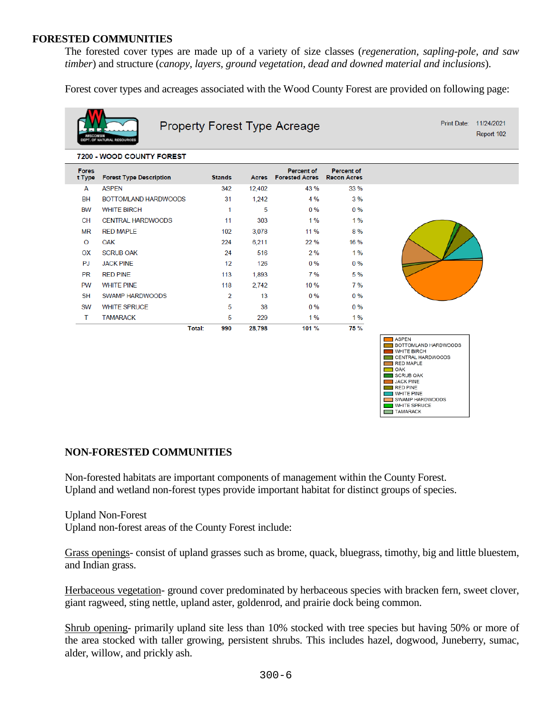#### **FORESTED COMMUNITIES**

The forested cover types are made up of a variety of size classes (*regeneration, sapling-pole, and saw timber*) and structure (*canopy, layers, ground vegetation, dead and downed material and inclusions*).

Forest cover types and acreages associated with the Wood County Forest are provided on following page:



Property Forest Type Acreage

Print Date: 11/24/2021 Report 102

#### 7200 - WOOD COUNTY FOREST **Fores** Percent of Percent of **Stands** t Type **Forest Type Description** Acres **Forested Acres Recon Acres**  $\overline{A}$ **ASPEN** 342 12,402 43 % 33 % **BH BOTTOMLAND HARDWOODS** 31 1,242 4 %  $3%$ **BW WHITE BIRCH**  $\mathbf{1}$  $\overline{5}$  $0%$  $0%$ CENTRAL HARDWOODS **CH** 11 303  $1%$  $1%$ **MR RED MAPLE** 102 3,078 11 % 8 %  $\circ$ OAK 224 6,211 22 % 16 % OX **SCRUB OAK** 24 516  $2%$  $1%$ **PJ JACK PINE**  $12$ 126  $0%$  $0%$ **PR RED PINE** 7 % 113 1,893 5 % PW **WHITE PINE** 118 2,742 10 %  $7%$ **SH** SWAMP HARDWOODS  $\overline{2}$  $13$  $0\%$  $0\%$ **SW WHITE SPRUCE** 5 38  $0\%$  $0%$  $\mathsf{T}$ **TAMARACK**  $\overline{5}$ 229  $1.96$  $1%$ **Total:** 990 28,798 101 % 75 %



## **NON-FORESTED COMMUNITIES**

Non-forested habitats are important components of management within the County Forest. Upland and wetland non-forest types provide important habitat for distinct groups of species.

Upland Non-Forest

Upland non-forest areas of the County Forest include:

Grass openings- consist of upland grasses such as brome, quack, bluegrass, timothy, big and little bluestem, and Indian grass.

Herbaceous vegetation- ground cover predominated by herbaceous species with bracken fern, sweet clover, giant ragweed, sting nettle, upland aster, goldenrod, and prairie dock being common.

Shrub opening- primarily upland site less than 10% stocked with tree species but having 50% or more of the area stocked with taller growing, persistent shrubs. This includes hazel, dogwood, Juneberry, sumac, alder, willow, and prickly ash.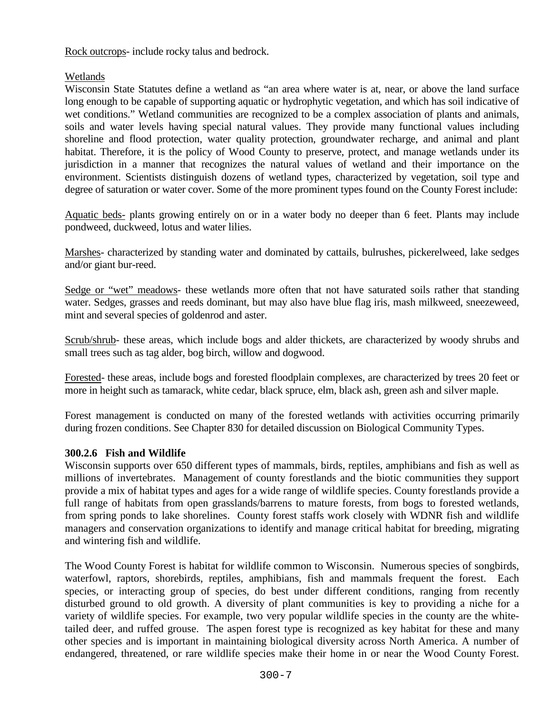Rock outcrops- include rocky talus and bedrock.

## Wetlands

Wisconsin State Statutes define a wetland as "an area where water is at, near, or above the land surface long enough to be capable of supporting aquatic or hydrophytic vegetation, and which has soil indicative of wet conditions." Wetland communities are recognized to be a complex association of plants and animals, soils and water levels having special natural values. They provide many functional values including shoreline and flood protection, water quality protection, groundwater recharge, and animal and plant habitat. Therefore, it is the policy of Wood County to preserve, protect, and manage wetlands under its jurisdiction in a manner that recognizes the natural values of wetland and their importance on the environment. Scientists distinguish dozens of wetland types, characterized by vegetation, soil type and degree of saturation or water cover. Some of the more prominent types found on the County Forest include:

Aquatic beds- plants growing entirely on or in a water body no deeper than 6 feet. Plants may include pondweed, duckweed, lotus and water lilies.

Marshes- characterized by standing water and dominated by cattails, bulrushes, pickerelweed, lake sedges and/or giant bur-reed.

Sedge or "wet" meadows- these wetlands more often that not have saturated soils rather that standing water. Sedges, grasses and reeds dominant, but may also have blue flag iris, mash milkweed, sneezeweed, mint and several species of goldenrod and aster.

Scrub/shrub- these areas, which include bogs and alder thickets, are characterized by woody shrubs and small trees such as tag alder, bog birch, willow and dogwood.

Forested- these areas, include bogs and forested floodplain complexes, are characterized by trees 20 feet or more in height such as tamarack, white cedar, black spruce, elm, black ash, green ash and silver maple.

Forest management is conducted on many of the forested wetlands with activities occurring primarily during frozen conditions. See Chapter 830 for detailed discussion on Biological Community Types.

## **300.2.6 Fish and Wildlife**

Wisconsin supports over 650 different types of mammals, birds, reptiles, amphibians and fish as well as millions of invertebrates. Management of county forestlands and the biotic communities they support provide a mix of habitat types and ages for a wide range of wildlife species. County forestlands provide a full range of habitats from open grasslands/barrens to mature forests, from bogs to forested wetlands, from spring ponds to lake shorelines. County forest staffs work closely with WDNR fish and wildlife managers and conservation organizations to identify and manage critical habitat for breeding, migrating and wintering fish and wildlife.

The Wood County Forest is habitat for wildlife common to Wisconsin. Numerous species of songbirds, waterfowl, raptors, shorebirds, reptiles, amphibians, fish and mammals frequent the forest. Each species, or interacting group of species, do best under different conditions, ranging from recently disturbed ground to old growth. A diversity of plant communities is key to providing a niche for a variety of wildlife species. For example, two very popular wildlife species in the county are the whitetailed deer, and ruffed grouse. The aspen forest type is recognized as key habitat for these and many other species and is important in maintaining biological diversity across North America. A number of endangered, threatened, or rare wildlife species make their home in or near the Wood County Forest.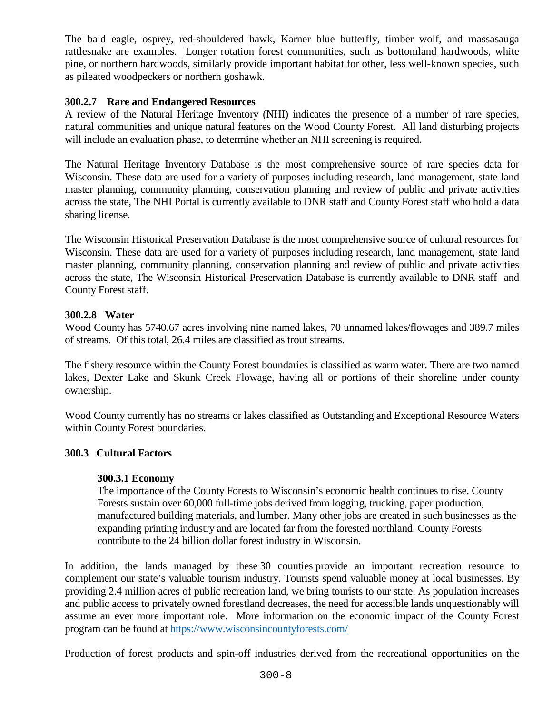The bald eagle, osprey, red-shouldered hawk, Karner blue butterfly, timber wolf, and massasauga rattlesnake are examples. Longer rotation forest communities, such as bottomland hardwoods, white pine, or northern hardwoods, similarly provide important habitat for other, less well-known species, such as pileated woodpeckers or northern goshawk.

### **300.2.7 Rare and Endangered Resources**

A review of the Natural Heritage Inventory (NHI) indicates the presence of a number of rare species, natural communities and unique natural features on the Wood County Forest. All land disturbing projects will include an evaluation phase, to determine whether an NHI screening is required.

The Natural Heritage Inventory Database is the most comprehensive source of rare species data for Wisconsin. These data are used for a variety of purposes including research, land management, state land master planning, community planning, conservation planning and review of public and private activities across the state, The NHI Portal is currently available to DNR staff and County Forest staff who hold a data sharing license.

The Wisconsin Historical Preservation Database is the most comprehensive source of cultural resources for Wisconsin. These data are used for a variety of purposes including research, land management, state land master planning, community planning, conservation planning and review of public and private activities across the state, The Wisconsin Historical Preservation Database is currently available to DNR staff and County Forest staff.

#### **300.2.8 Water**

Wood County has 5740.67 acres involving nine named lakes, 70 unnamed lakes/flowages and 389.7 miles of streams. Of this total, 26.4 miles are classified as trout streams.

The fishery resource within the County Forest boundaries is classified as warm water. There are two named lakes, Dexter Lake and Skunk Creek Flowage, having all or portions of their shoreline under county ownership.

Wood County currently has no streams or lakes classified as Outstanding and Exceptional Resource Waters within County Forest boundaries.

#### **300.3 Cultural Factors**

#### **300.3.1 Economy**

The importance of the County Forests to Wisconsin's economic health continues to rise. County Forests sustain over 60,000 full-time jobs derived from logging, trucking, paper production, manufactured building materials, and lumber. Many other jobs are created in such businesses as the expanding printing industry and are located far from the forested northland. County Forests contribute to the 24 billion dollar forest industry in Wisconsin.

In addition, the lands managed by these 30 counties provide an important recreation resource to complement our state's valuable tourism industry. Tourists spend valuable money at local businesses. By providing 2.4 million acres of public recreation land, we bring tourists to our state. As population increases and public access to privately owned forestland decreases, the need for accessible lands unquestionably will assume an ever more important role. More information on the economic impact of the County Forest program can be found at<https://www.wisconsincountyforests.com/>

Production of forest products and spin-off industries derived from the recreational opportunities on the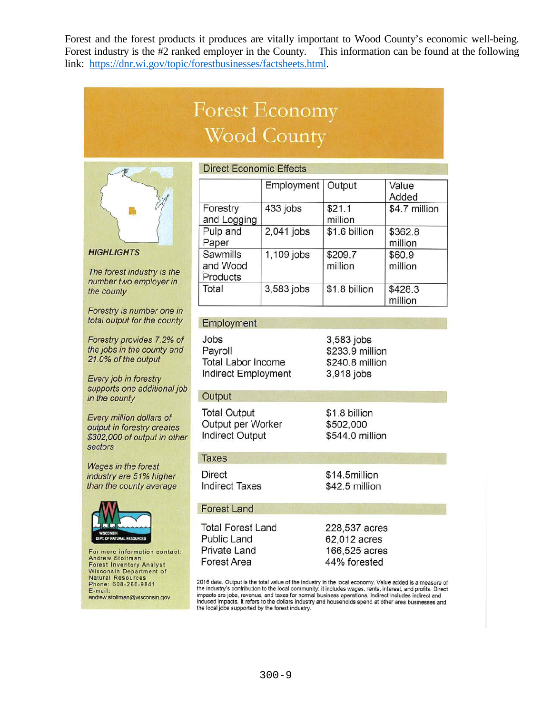Forest and the forest products it produces are vitally important to Wood County's economic well-being. Forest industry is the #2 ranked employer in the County. This information can be found at the following link: https://dnr.wi.gov/topic/forestbusinesses/factsheets.html.

# **Forest Economy Wood County**



**HIGHLIGHTS** 

The forest industry is the number two employer in the county

Forestry is number one in total output for the county

Forestry provides 7.2% of the jobs in the county and 21.0% of the output

Every job in forestry supports one additional job in the county

Every million dollars of output in forestry creates \$302,000 of output in other sectors

Wages in the forest industry are 51% higher than the county average



For more information contact: Andrew Stoltman<br>Forest Inventory Analyst **Wisconsin Department of Natural Resources** Phone: 608-266-9841<br>E-mail: andrew.stoltman@wisconsin.gov

#### **Direct Economic Effects**

|                                  | Employment   Output |                    | Value<br>Added     |
|----------------------------------|---------------------|--------------------|--------------------|
| Forestry<br>and Logging          | 433 jobs            | \$21.1<br>million  | \$4.7 million      |
| Pulp and<br>Paper                | 2,041 jobs          | \$1.6 billion      | \$362.8<br>million |
| Sawmills<br>and Wood<br>Products | 1,109 jobs          | \$209.7<br>million | \$60.9<br>million  |
| Total                            | 3,583 jobs          | \$1.8 billion      | \$428.3<br>million |

#### Employment

Jobs Payroll **Total Labor Income** Indirect Employment

3,583 jobs \$233.9 million \$240.8 million 3,918 jobs

#### Output

**Total Output** Output per Worker **Indirect Output** 

#### **Taxes**

**Direct Indirect Taxes** 

#### **Forest Land**

**Total Forest Land Public Land** Private Land Forest Area

\$1.8 billion \$502,000 \$544.0 million

\$14.5million \$42.5 million

228,537 acres 62,012 acres 166,525 acres 44% forested

2016 data. Output is the total value of the industry in the local economy. Value added is a measure of Let it industry's contribution to the local community; it includes wages, rents, interest, and profits. Direct<br>impacts are jobs, revenue, and taxes for normal business operations. Indirect includes indirect and induced impacts. It refers to the dollars industry and households spend at other area businesses and the local jobs supported by the forest industry.